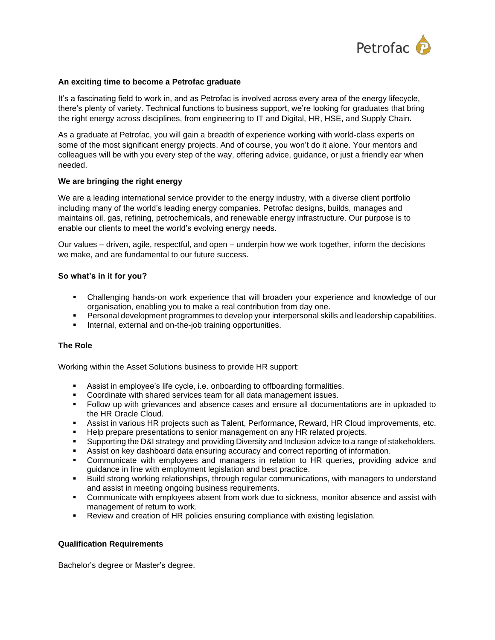

## **An exciting time to become a Petrofac graduate**

It's a fascinating field to work in, and as Petrofac is involved across every area of the energy lifecycle, there's plenty of variety. Technical functions to business support, we're looking for graduates that bring the right energy across disciplines, from engineering to IT and Digital, HR, HSE, and Supply Chain.

As a graduate at Petrofac, you will gain a breadth of experience working with world-class experts on some of the most significant energy projects. And of course, you won't do it alone. Your mentors and colleagues will be with you every step of the way, offering advice, guidance, or just a friendly ear when needed.

### **We are bringing the right energy**

We are a leading international service provider to the energy industry, with a diverse client portfolio including many of the world's leading energy companies. Petrofac designs, builds, manages and maintains oil, gas, refining, petrochemicals, and renewable energy infrastructure. Our purpose is to enable our clients to meet the world's evolving energy needs.

Our values – driven, agile, respectful, and open – underpin how we work together, inform the decisions we make, and are fundamental to our future success.

### **So what's in it for you?**

- Challenging hands-on work experience that will broaden your experience and knowledge of our organisation, enabling you to make a real contribution from day one.
- Personal development programmes to develop your interpersonal skills and leadership capabilities.
- **EXECT** Internal, external and on-the-job training opportunities.

#### **The Role**

Working within the Asset Solutions business to provide HR support:

- **EXECT** Assist in employee's life cycle, i.e. onboarding to offboarding formalities.
- Coordinate with shared services team for all data management issues.
- Follow up with grievances and absence cases and ensure all documentations are in uploaded to the HR Oracle Cloud.
- **EXECTS Assist in various HR projects such as Talent, Performance, Reward, HR Cloud improvements, etc.**
- **EXEL** Help prepare presentations to senior management on any HR related projects.
- Supporting the D&I strategy and providing Diversity and Inclusion advice to a range of stakeholders.
- **EXECT** Assist on key dashboard data ensuring accuracy and correct reporting of information.
- **•** Communicate with employees and managers in relation to HR queries, providing advice and guidance in line with employment legislation and best practice.
- Build strong working relationships, through regular communications, with managers to understand and assist in meeting ongoing business requirements.
- **•** Communicate with employees absent from work due to sickness, monitor absence and assist with management of return to work.
- **EXECT** Review and creation of HR policies ensuring compliance with existing legislation.

#### **Qualification Requirements**

Bachelor's degree or Master's degree.